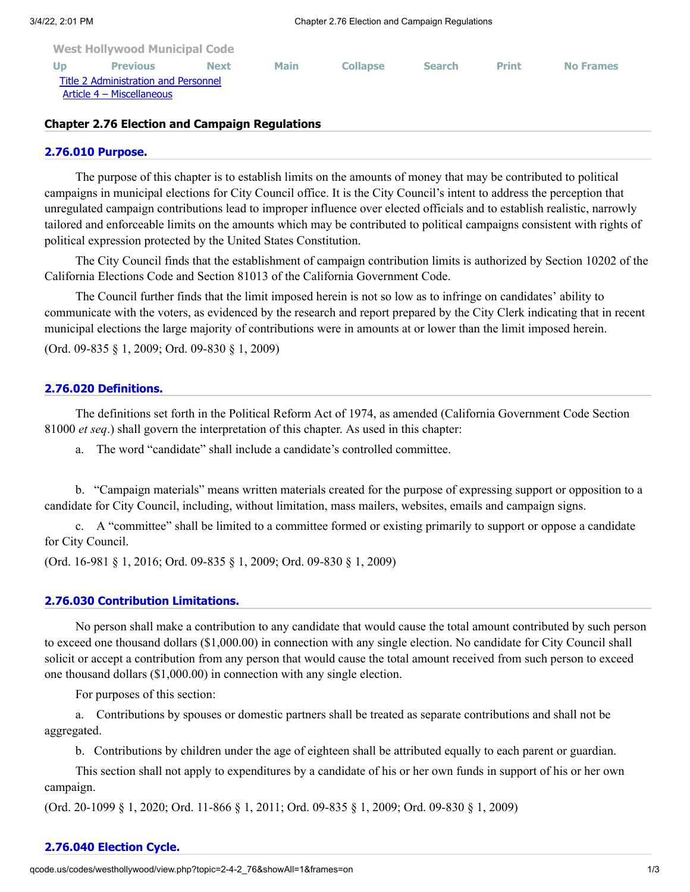| <b>West Hollywood Municipal Code</b> |                           |             |             |                 |               |              |                  |
|--------------------------------------|---------------------------|-------------|-------------|-----------------|---------------|--------------|------------------|
| <b>Up</b>                            | <b>Previous</b>           | <b>Next</b> | <b>Main</b> | <b>Collapse</b> | <b>Search</b> | <b>Print</b> | <b>No Frames</b> |
| Title 2 Administration and Personnel |                           |             |             |                 |               |              |                  |
|                                      | Article 4 – Miscellaneous |             |             |                 |               |              |                  |
|                                      |                           |             |             |                 |               |              |                  |

### **Chapter 2.76 Election and Campaign Regulations**

#### **[2.76.010 Purpose.](http://qcode.us/codes/westhollywood/view.php?topic=2-4-2_76-2_76_010&frames=on)**

The purpose of this chapter is to establish limits on the amounts of money that may be contributed to political campaigns in municipal elections for City Council office. It is the City Council's intent to address the perception that unregulated campaign contributions lead to improper influence over elected officials and to establish realistic, narrowly tailored and enforceable limits on the amounts which may be contributed to political campaigns consistent with rights of political expression protected by the United States Constitution.

The City Council finds that the establishment of campaign contribution limits is authorized by Section 10202 of the California Elections Code and Section 81013 of the California Government Code.

The Council further finds that the limit imposed herein is not so low as to infringe on candidates' ability to communicate with the voters, as evidenced by the research and report prepared by the City Clerk indicating that in recent municipal elections the large majority of contributions were in amounts at or lower than the limit imposed herein.

(Ord. 09-835 § 1, 2009; Ord. 09-830 § 1, 2009)

#### **[2.76.020 Definitions.](http://qcode.us/codes/westhollywood/view.php?topic=2-4-2_76-2_76_020&frames=on)**

The definitions set forth in the Political Reform Act of 1974, as amended (California Government Code Section 81000 *et seq*.) shall govern the interpretation of this chapter. As used in this chapter:

a. The word "candidate" shall include a candidate's controlled committee.

b. "Campaign materials" means written materials created for the purpose of expressing support or opposition to a candidate for City Council, including, without limitation, mass mailers, websites, emails and campaign signs.

c. A "committee" shall be limited to a committee formed or existing primarily to support or oppose a candidate for City Council.

(Ord. 16-981 § 1, 2016; Ord. 09-835 § 1, 2009; Ord. 09-830 § 1, 2009)

### **[2.76.030 Contribution Limitations.](http://qcode.us/codes/westhollywood/view.php?topic=2-4-2_76-2_76_030&frames=on)**

No person shall make a contribution to any candidate that would cause the total amount contributed by such person to exceed one thousand dollars (\$1,000.00) in connection with any single election. No candidate for City Council shall solicit or accept a contribution from any person that would cause the total amount received from such person to exceed one thousand dollars (\$1,000.00) in connection with any single election.

For purposes of this section:

a. Contributions by spouses or domestic partners shall be treated as separate contributions and shall not be aggregated.

b. Contributions by children under the age of eighteen shall be attributed equally to each parent or guardian.

This section shall not apply to expenditures by a candidate of his or her own funds in support of his or her own campaign.

(Ord. 20-1099 § 1, 2020; Ord. 11-866 § 1, 2011; Ord. 09-835 § 1, 2009; Ord. 09-830 § 1, 2009)

# **[2.76.040 Election Cycle.](http://qcode.us/codes/westhollywood/view.php?topic=2-4-2_76-2_76_040&frames=on)**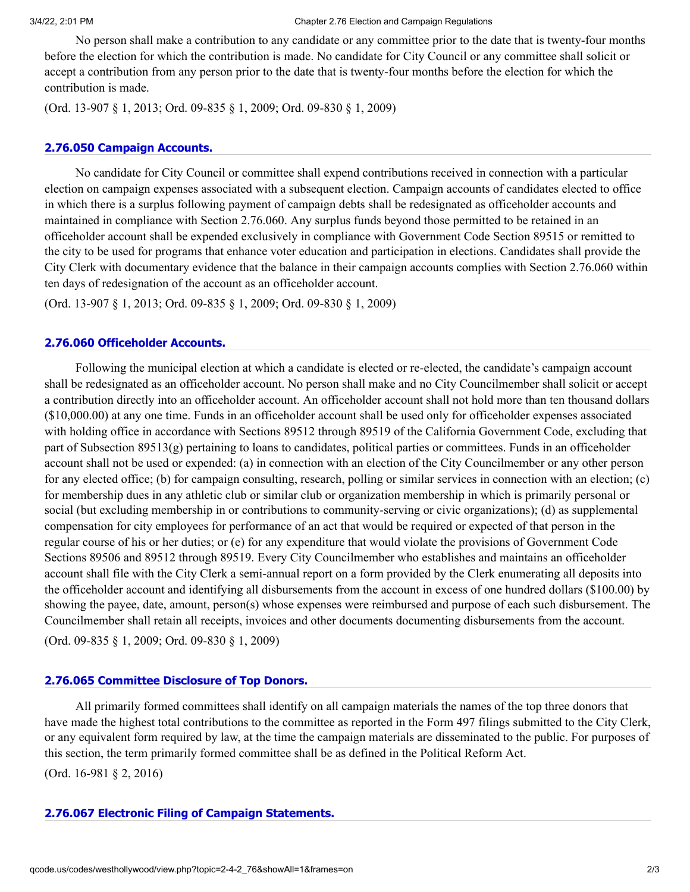No person shall make a contribution to any candidate or any committee prior to the date that is twenty-four months before the election for which the contribution is made. No candidate for City Council or any committee shall solicit or accept a contribution from any person prior to the date that is twenty-four months before the election for which the contribution is made.

(Ord. 13-907 § 1, 2013; Ord. 09-835 § 1, 2009; Ord. 09-830 § 1, 2009)

# **[2.76.050 Campaign Accounts.](http://qcode.us/codes/westhollywood/view.php?topic=2-4-2_76-2_76_050&frames=on)**

No candidate for City Council or committee shall expend contributions received in connection with a particular election on campaign expenses associated with a subsequent election. Campaign accounts of candidates elected to office in which there is a surplus following payment of campaign debts shall be redesignated as officeholder accounts and maintained in compliance with Section 2.76.060. Any surplus funds beyond those permitted to be retained in an officeholder account shall be expended exclusively in compliance with Government Code Section 89515 or remitted to the city to be used for programs that enhance voter education and participation in elections. Candidates shall provide the City Clerk with documentary evidence that the balance in their campaign accounts complies with Section 2.76.060 within ten days of redesignation of the account as an officeholder account.

(Ord. 13-907 § 1, 2013; Ord. 09-835 § 1, 2009; Ord. 09-830 § 1, 2009)

# **[2.76.060 Officeholder Accounts.](http://qcode.us/codes/westhollywood/view.php?topic=2-4-2_76-2_76_060&frames=on)**

Following the municipal election at which a candidate is elected or re-elected, the candidate's campaign account shall be redesignated as an officeholder account. No person shall make and no City Councilmember shall solicit or accept a contribution directly into an officeholder account. An officeholder account shall not hold more than ten thousand dollars (\$10,000.00) at any one time. Funds in an officeholder account shall be used only for officeholder expenses associated with holding office in accordance with Sections 89512 through 89519 of the California Government Code, excluding that part of Subsection 89513(g) pertaining to loans to candidates, political parties or committees. Funds in an officeholder account shall not be used or expended: (a) in connection with an election of the City Councilmember or any other person for any elected office; (b) for campaign consulting, research, polling or similar services in connection with an election; (c) for membership dues in any athletic club or similar club or organization membership in which is primarily personal or social (but excluding membership in or contributions to community-serving or civic organizations); (d) as supplemental compensation for city employees for performance of an act that would be required or expected of that person in the regular course of his or her duties; or (e) for any expenditure that would violate the provisions of Government Code Sections 89506 and 89512 through 89519. Every City Councilmember who establishes and maintains an officeholder account shall file with the City Clerk a semi-annual report on a form provided by the Clerk enumerating all deposits into the officeholder account and identifying all disbursements from the account in excess of one hundred dollars (\$100.00) by showing the payee, date, amount, person(s) whose expenses were reimbursed and purpose of each such disbursement. The Councilmember shall retain all receipts, invoices and other documents documenting disbursements from the account. (Ord. 09-835 § 1, 2009; Ord. 09-830 § 1, 2009)

# **[2.76.065 Committee Disclosure of Top](http://qcode.us/codes/westhollywood/view.php?topic=2-4-2_76-2_76_065&frames=on) Donors.**

All primarily formed committees shall identify on all campaign materials the names of the top three donors that have made the highest total contributions to the committee as reported in the Form 497 filings submitted to the City Clerk, or any equivalent form required by law, at the time the campaign materials are disseminated to the public. For purposes of this section, the term primarily formed committee shall be as defined in the Political Reform Act.

(Ord. 16-981 § 2, 2016)

# **[2.76.067 Electronic Filing of Campaign Statements.](http://qcode.us/codes/westhollywood/view.php?topic=2-4-2_76-2_76_067&frames=on)**